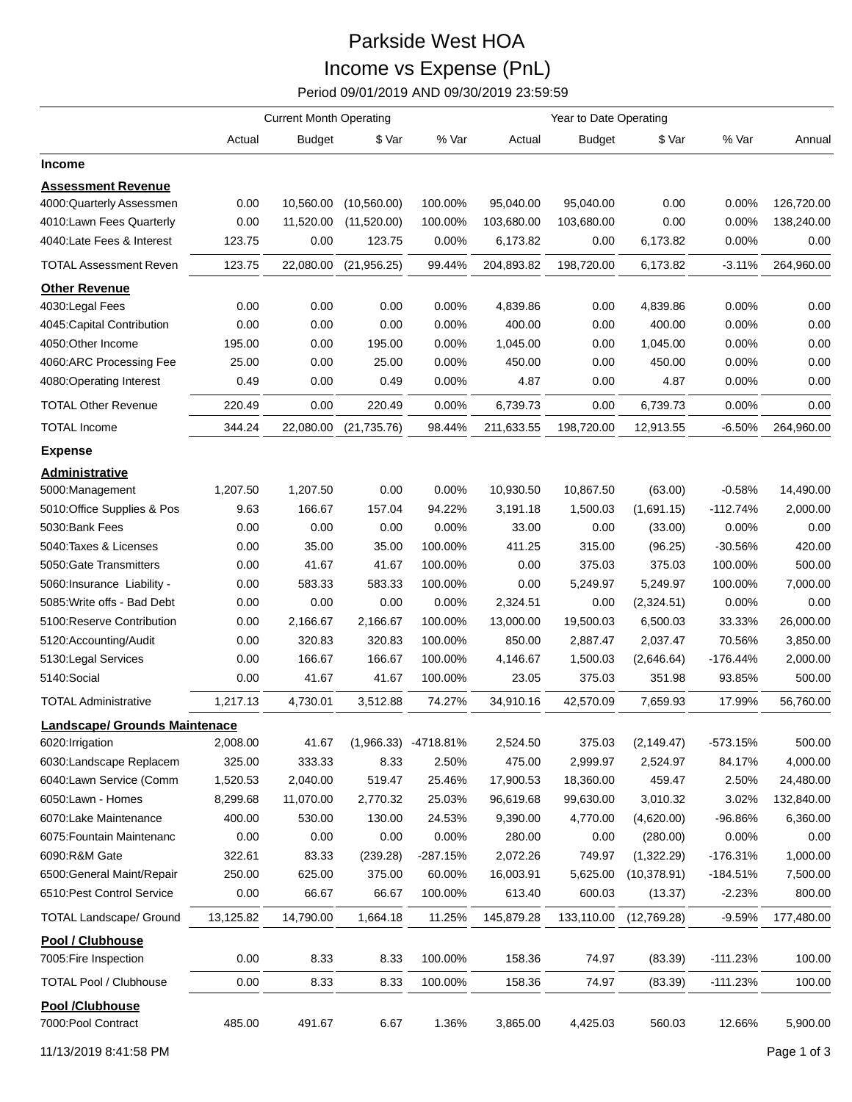## Parkside West HOA Income vs Expense (PnL)

Period 09/01/2019 AND 09/30/2019 23:59:59

|                                              |                      | <b>Current Month Operating</b> |              |                        |                        |                        |              |                |            |
|----------------------------------------------|----------------------|--------------------------------|--------------|------------------------|------------------------|------------------------|--------------|----------------|------------|
|                                              | Actual               | <b>Budget</b>                  | \$ Var       | % Var                  | Actual                 | <b>Budget</b>          | \$ Var       | % Var          | Annual     |
| Income                                       |                      |                                |              |                        |                        |                        |              |                |            |
| <b>Assessment Revenue</b>                    |                      |                                |              |                        |                        |                        |              |                |            |
| 4000:Quarterly Assessmen                     | 0.00                 | 10,560.00                      | (10, 560.00) | 100.00%                | 95,040.00              | 95,040.00              | 0.00         | 0.00%          | 126,720.00 |
| 4010:Lawn Fees Quarterly                     | 0.00                 | 11,520.00                      | (11,520.00)  | 100.00%                | 103,680.00             | 103,680.00             | 0.00         | 0.00%          | 138,240.00 |
| 4040:Late Fees & Interest                    | 123.75               | 0.00                           | 123.75       | 0.00%                  | 6,173.82               | 0.00                   | 6,173.82     | 0.00%          | 0.00       |
| <b>TOTAL Assessment Reven</b>                | 123.75               | 22,080.00                      | (21, 956.25) | 99.44%                 | 204,893.82             | 198,720.00             | 6,173.82     | $-3.11%$       | 264,960.00 |
| <b>Other Revenue</b>                         |                      |                                |              |                        |                        |                        |              |                |            |
| 4030: Legal Fees                             | 0.00                 | 0.00                           | 0.00         | 0.00%                  | 4,839.86               | 0.00                   | 4,839.86     | 0.00%          | 0.00       |
| 4045: Capital Contribution                   | 0.00                 | 0.00                           | 0.00         | 0.00%                  | 400.00                 | 0.00                   | 400.00       | 0.00%          | 0.00       |
| 4050:Other Income                            | 195.00               | 0.00                           | 195.00       | 0.00%                  | 1,045.00               | 0.00                   | 1,045.00     | 0.00%          | 0.00       |
| 4060:ARC Processing Fee                      | 25.00                | 0.00                           | 25.00        | 0.00%                  | 450.00                 | 0.00                   | 450.00       | 0.00%          | 0.00       |
| 4080:Operating Interest                      | 0.49                 | 0.00                           | 0.49         | 0.00%                  | 4.87                   | 0.00                   | 4.87         | 0.00%          | 0.00       |
| <b>TOTAL Other Revenue</b>                   | 220.49               | 0.00                           | 220.49       | 0.00%                  | 6,739.73               | 0.00                   | 6,739.73     | 0.00%          | 0.00       |
| <b>TOTAL Income</b>                          | 344.24               | 22,080.00                      | (21,735.76)  | 98.44%                 | 211,633.55             | 198,720.00             | 12,913.55    | $-6.50\%$      | 264,960.00 |
| <b>Expense</b>                               |                      |                                |              |                        |                        |                        |              |                |            |
| Administrative                               |                      |                                |              |                        |                        |                        |              |                |            |
| 5000:Management                              | 1,207.50             | 1,207.50                       | 0.00         | 0.00%                  | 10,930.50              | 10,867.50              | (63.00)      | -0.58%         | 14,490.00  |
| 5010:Office Supplies & Pos                   | 9.63                 | 166.67                         | 157.04       | 94.22%                 | 3,191.18               | 1,500.03               | (1,691.15)   | $-112.74%$     | 2,000.00   |
| 5030:Bank Fees                               | 0.00                 | 0.00                           | 0.00         | 0.00%                  | 33.00                  | 0.00                   | (33.00)      | $0.00\%$       | 0.00       |
| 5040: Taxes & Licenses                       | 0.00                 | 35.00                          | 35.00        | 100.00%                | 411.25                 | 315.00                 | (96.25)      | $-30.56%$      | 420.00     |
| 5050: Gate Transmitters                      | 0.00                 | 41.67                          | 41.67        | 100.00%                | 0.00                   | 375.03                 | 375.03       | 100.00%        | 500.00     |
| 5060: Insurance Liability -                  | 0.00                 | 583.33                         | 583.33       | 100.00%                | 0.00                   | 5,249.97               | 5,249.97     | 100.00%        | 7,000.00   |
| 5085: Write offs - Bad Debt                  | 0.00                 | 0.00                           | 0.00         | 0.00%                  | 2,324.51               | 0.00                   | (2,324.51)   | $0.00\%$       | 0.00       |
| 5100: Reserve Contribution                   | 0.00                 | 2,166.67                       | 2,166.67     | 100.00%                | 13,000.00              | 19,500.03              | 6,500.03     | 33.33%         | 26,000.00  |
| 5120:Accounting/Audit                        | 0.00                 | 320.83                         | 320.83       | 100.00%                | 850.00                 | 2,887.47               | 2,037.47     | 70.56%         | 3,850.00   |
| 5130: Legal Services                         | 0.00                 | 166.67                         | 166.67       | 100.00%                | 4,146.67               | 1,500.03               | (2,646.64)   | $-176.44%$     | 2,000.00   |
| 5140:Social                                  | 0.00                 | 41.67                          | 41.67        | 100.00%                | 23.05                  | 375.03                 | 351.98       | 93.85%         | 500.00     |
| <b>TOTAL Administrative</b>                  | 1,217.13             | 4,730.01                       | 3,512.88     | 74.27%                 | 34,910.16              | 42,570.09              | 7,659.93     | 17.99%         | 56,760.00  |
| Landscape/ Grounds Maintenace                |                      |                                |              |                        |                        |                        |              |                |            |
| 6020: Irrigation                             | 2,008.00             | 41.67                          |              | $(1,966.33)$ -4718.81% | 2,524.50               | 375.03                 | (2, 149.47)  | $-573.15%$     | 500.00     |
| 6030:Landscape Replacem                      | 325.00               | 333.33                         | 8.33         | 2.50%                  | 475.00                 | 2,999.97               | 2,524.97     | 84.17%         | 4,000.00   |
|                                              |                      |                                |              |                        |                        |                        | 459.47       |                |            |
| 6040:Lawn Service (Comm<br>6050:Lawn - Homes | 1,520.53<br>8,299.68 | 2,040.00<br>11,070.00          | 519.47       | 25.46%                 | 17,900.53<br>96,619.68 | 18,360.00<br>99,630.00 | 3,010.32     | 2.50%<br>3.02% | 24,480.00  |
|                                              |                      |                                | 2,770.32     | 25.03%                 |                        |                        | (4,620.00)   |                | 132,840.00 |
| 6070:Lake Maintenance                        | 400.00               | 530.00                         | 130.00       | 24.53%                 | 9,390.00               | 4,770.00               |              | $-96.86%$      | 6,360.00   |
| 6075: Fountain Maintenanc                    | 0.00                 | 0.00                           | 0.00         | 0.00%                  | 280.00                 | 0.00                   | (280.00)     | 0.00%          | 0.00       |
| 6090:R&M Gate                                | 322.61               | 83.33                          | (239.28)     | -287.15%               | 2,072.26               | 749.97                 | (1,322.29)   | -176.31%       | 1,000.00   |
| 6500: General Maint/Repair                   | 250.00               | 625.00                         | 375.00       | 60.00%                 | 16,003.91              | 5,625.00               | (10, 378.91) | -184.51%       | 7,500.00   |
| 6510: Pest Control Service                   | 0.00                 | 66.67                          | 66.67        | 100.00%                | 613.40                 | 600.03                 | (13.37)      | $-2.23%$       | 800.00     |
| <b>TOTAL Landscape/ Ground</b>               | 13,125.82            | 14,790.00                      | 1,664.18     | 11.25%                 | 145,879.28             | 133,110.00             | (12,769.28)  | $-9.59%$       | 177,480.00 |
| Pool / Clubhouse<br>7005: Fire Inspection    | 0.00                 | 8.33                           | 8.33         | 100.00%                | 158.36                 | 74.97                  | (83.39)      | $-111.23%$     | 100.00     |
| <b>TOTAL Pool / Clubhouse</b>                | 0.00                 | 8.33                           | 8.33         | 100.00%                | 158.36                 | 74.97                  | (83.39)      | $-111.23%$     | 100.00     |
| Pool /Clubhouse<br>7000: Pool Contract       | 485.00               | 491.67                         | 6.67         | 1.36%                  | 3,865.00               | 4,425.03               | 560.03       | 12.66%         | 5,900.00   |

11/13/2019 8:41:58 PM Page 1 of 3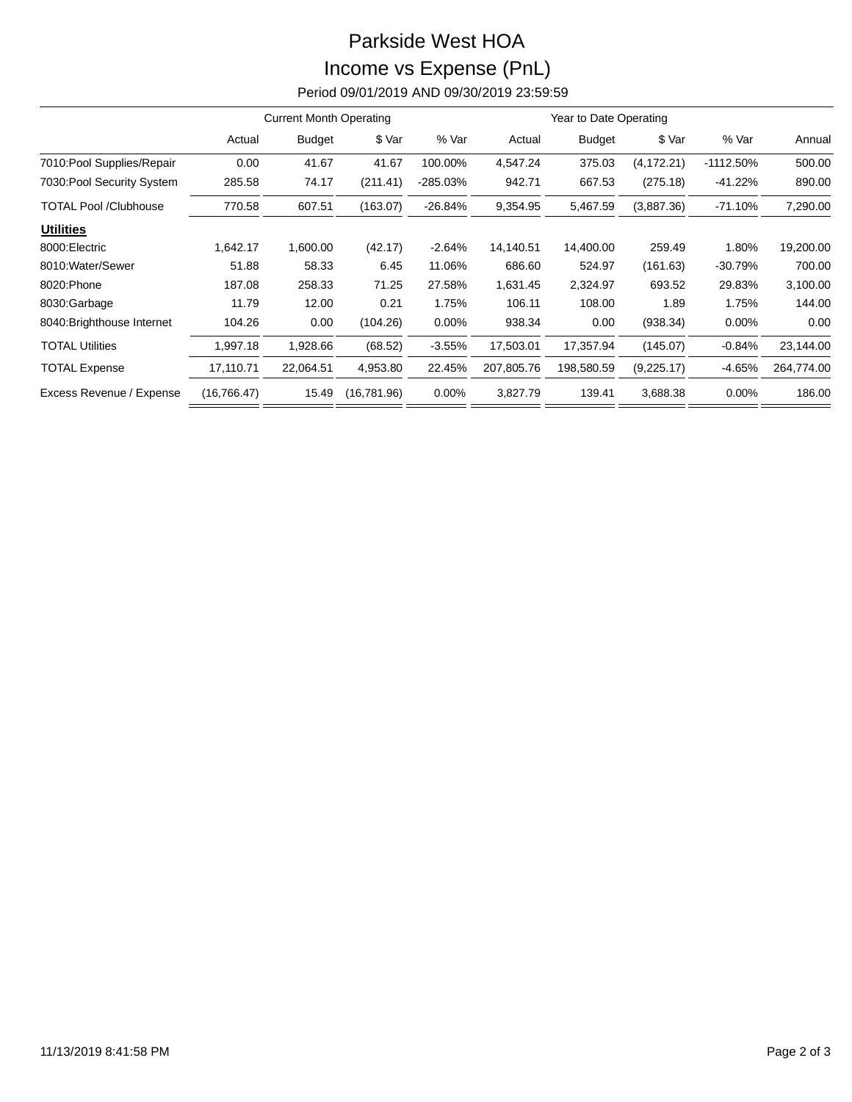## Parkside West HOA Income vs Expense (PnL)

Period 09/01/2019 AND 09/30/2019 23:59:59

|                              | <b>Current Month Operating</b> |               |             |           |            | Year to Date Operating |             |             |            |
|------------------------------|--------------------------------|---------------|-------------|-----------|------------|------------------------|-------------|-------------|------------|
|                              | Actual                         | <b>Budget</b> | \$ Var      | % Var     | Actual     | <b>Budget</b>          | \$ Var      | % Var       | Annual     |
| 7010: Pool Supplies/Repair   | 0.00                           | 41.67         | 41.67       | 100.00%   | 4,547.24   | 375.03                 | (4, 172.21) | $-1112.50%$ | 500.00     |
| 7030: Pool Security System   | 285.58                         | 74.17         | (211.41)    | -285.03%  | 942.71     | 667.53                 | (275.18)    | $-41.22%$   | 890.00     |
| <b>TOTAL Pool /Clubhouse</b> | 770.58                         | 607.51        | (163.07)    | $-26.84%$ | 9,354.95   | 5,467.59               | (3,887.36)  | $-71.10%$   | 7,290.00   |
| <b>Utilities</b>             |                                |               |             |           |            |                        |             |             |            |
| 8000: Electric               | 1,642.17                       | 1,600.00      | (42.17)     | $-2.64%$  | 14,140.51  | 14,400.00              | 259.49      | 1.80%       | 19,200.00  |
| 8010: Water/Sewer            | 51.88                          | 58.33         | 6.45        | 11.06%    | 686.60     | 524.97                 | (161.63)    | $-30.79%$   | 700.00     |
| 8020: Phone                  | 187.08                         | 258.33        | 71.25       | 27.58%    | 1,631.45   | 2,324.97               | 693.52      | 29.83%      | 3,100.00   |
| 8030:Garbage                 | 11.79                          | 12.00         | 0.21        | 1.75%     | 106.11     | 108.00                 | 1.89        | 1.75%       | 144.00     |
| 8040: Brighthouse Internet   | 104.26                         | 0.00          | (104.26)    | $0.00\%$  | 938.34     | 0.00                   | (938.34)    | $0.00\%$    | 0.00       |
| <b>TOTAL Utilities</b>       | 1,997.18                       | 1,928.66      | (68.52)     | $-3.55%$  | 17,503.01  | 17,357.94              | (145.07)    | $-0.84%$    | 23,144.00  |
| <b>TOTAL Expense</b>         | 17,110.71                      | 22,064.51     | 4,953.80    | 22.45%    | 207,805.76 | 198,580.59             | (9,225.17)  | -4.65%      | 264,774.00 |
| Excess Revenue / Expense     | (16, 766.47)                   | 15.49         | (16,781.96) | $0.00\%$  | 3,827.79   | 139.41                 | 3,688.38    | 0.00%       | 186.00     |